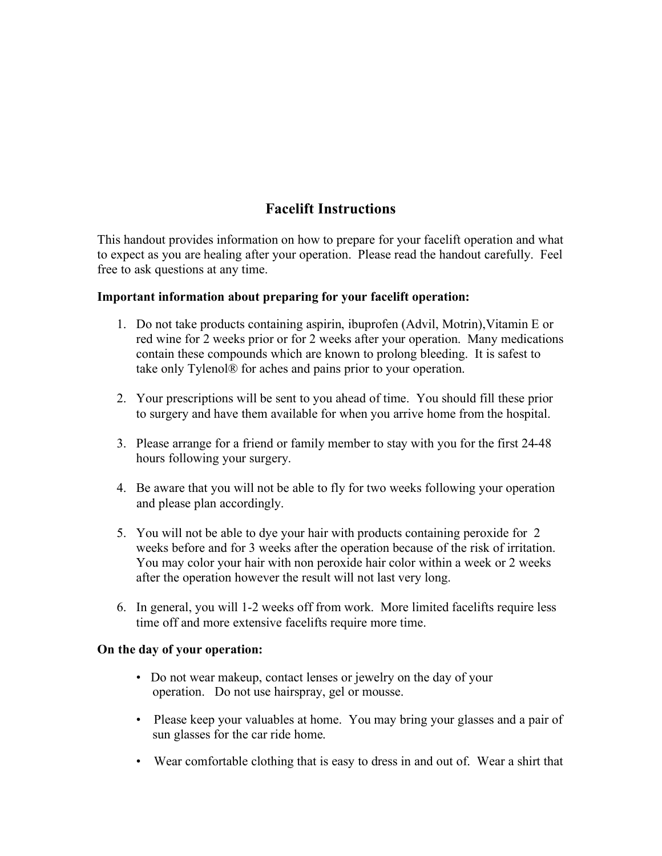# **Facelift Instructions**

This handout provides information on how to prepare for your facelift operation and what to expect as you are healing after your operation. Please read the handout carefully. Feel free to ask questions at any time.

## **Important information about preparing for your facelift operation:**

- 1. Do not take products containing aspirin, ibuprofen (Advil, Motrin),Vitamin E or red wine for 2 weeks prior or for 2 weeks after your operation. Many medications contain these compounds which are known to prolong bleeding. It is safest to take only Tylenol® for aches and pains prior to your operation.
- 2. Your prescriptions will be sent to you ahead of time. You should fill these prior to surgery and have them available for when you arrive home from the hospital.
- 3. Please arrange for a friend or family member to stay with you for the first 24-48 hours following your surgery.
- 4. Be aware that you will not be able to fly for two weeks following your operation and please plan accordingly.
- 5. You will not be able to dye your hair with products containing peroxide for 2 weeks before and for 3 weeks after the operation because of the risk of irritation. You may color your hair with non peroxide hair color within a week or 2 weeks after the operation however the result will not last very long.
- 6. In general, you will 1-2 weeks off from work. More limited facelifts require less time off and more extensive facelifts require more time.

#### **On the day of your operation:**

- Do not wear makeup, contact lenses or jewelry on the day of your operation. Do not use hairspray, gel or mousse.
- Please keep your valuables at home. You may bring your glasses and a pair of sun glasses for the car ride home.
- Wear comfortable clothing that is easy to dress in and out of. Wear a shirt that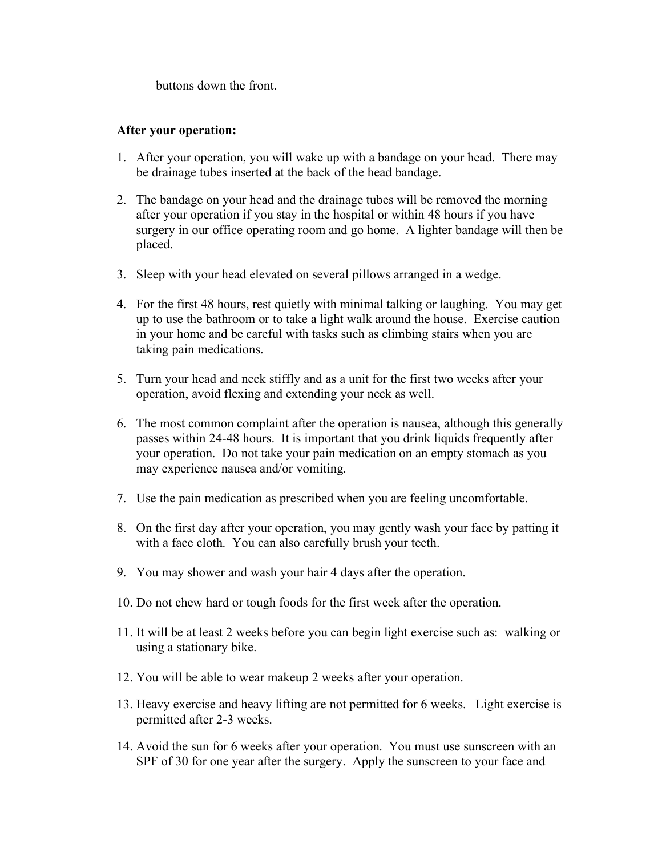buttons down the front.

#### **After your operation:**

- 1. After your operation, you will wake up with a bandage on your head. There may be drainage tubes inserted at the back of the head bandage.
- 2. The bandage on your head and the drainage tubes will be removed the morning after your operation if you stay in the hospital or within 48 hours if you have surgery in our office operating room and go home. A lighter bandage will then be placed.
- 3. Sleep with your head elevated on several pillows arranged in a wedge.
- 4. For the first 48 hours, rest quietly with minimal talking or laughing. You may get up to use the bathroom or to take a light walk around the house. Exercise caution in your home and be careful with tasks such as climbing stairs when you are taking pain medications.
- 5. Turn your head and neck stiffly and as a unit for the first two weeks after your operation, avoid flexing and extending your neck as well.
- 6. The most common complaint after the operation is nausea, although this generally passes within 24-48 hours. It is important that you drink liquids frequently after your operation. Do not take your pain medication on an empty stomach as you may experience nausea and/or vomiting.
- 7. Use the pain medication as prescribed when you are feeling uncomfortable.
- 8. On the first day after your operation, you may gently wash your face by patting it with a face cloth. You can also carefully brush your teeth.
- 9. You may shower and wash your hair 4 days after the operation.
- 10. Do not chew hard or tough foods for the first week after the operation.
- 11. It will be at least 2 weeks before you can begin light exercise such as: walking or using a stationary bike.
- 12. You will be able to wear makeup 2 weeks after your operation.
- 13. Heavy exercise and heavy lifting are not permitted for 6 weeks. Light exercise is permitted after 2-3 weeks.
- 14. Avoid the sun for 6 weeks after your operation. You must use sunscreen with an SPF of 30 for one year after the surgery. Apply the sunscreen to your face and